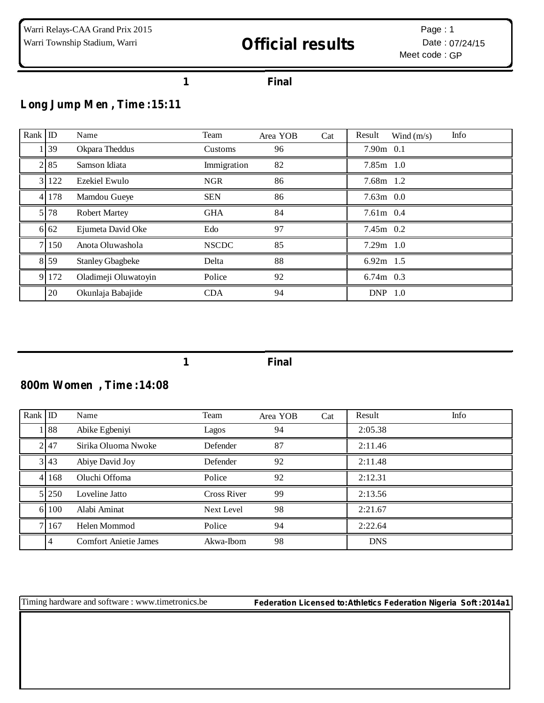#### **Final**

## **Long Jump Men , Time :15:11**

| Rank | ID    | Name                    | Team         | Area YOB | Cat | Info<br>Result<br>Wind $(m/s)$ |
|------|-------|-------------------------|--------------|----------|-----|--------------------------------|
|      | 39    | Okpara Theddus          | Customs      | 96       |     | $7.90m$ 0.1                    |
|      | 2 85  | Samson Idiata           | Immigration  | 82       |     | $7.85m$ 1.0                    |
|      | 122   | Ezekiel Ewulo           | <b>NGR</b>   | 86       |     | 7.68m 1.2                      |
|      | 4 178 | Mamdou Gueye            | <b>SEN</b>   | 86       |     | $7.63m$ 0.0                    |
|      | 78    | <b>Robert Martey</b>    | <b>GHA</b>   | 84       |     | $7.61m$ 0.4                    |
|      | 6 62  | Ejumeta David Oke       | Edo          | 97       |     | $7.45m$ 0.2                    |
| 7.   | 150   | Anota Oluwashola        | <b>NSCDC</b> | 85       |     | $7.29m$ 1.0                    |
|      | 8 5 9 | <b>Stanley Gbagbeke</b> | Delta        | 88       |     | $6.92m$ 1.5                    |
|      | 9 172 | Oladimeji Oluwatoyin    | Police       | 92       |     | $6.74m$ 0.3                    |
|      | 20    | Okunlaja Babajide       | <b>CDA</b>   | 94       |     | DNP 1.0                        |

**Final**

### **800m Women , Time :14:08**

| $Rank$ ID |                | Name                         | Team               | Area YOB | Cat | Result     | <b>Info</b> |
|-----------|----------------|------------------------------|--------------------|----------|-----|------------|-------------|
|           | 188            | Abike Egbeniyi               | Lagos              | 94       |     | 2:05.38    |             |
|           | 2 47           | Sirika Oluoma Nwoke          | Defender           | 87       |     | 2:11.46    |             |
|           | 3 43           | Abiye David Joy              | Defender           | 92       |     | 2:11.48    |             |
|           | 4 1 1 6 8      | Oluchi Offoma                | Police             | 92       |     | 2:12.31    |             |
|           | 5 250          | Loveline Jatto               | <b>Cross River</b> | 99       |     | 2:13.56    |             |
|           | 6 100          | Alabi Aminat                 | Next Level         | 98       |     | 2:21.67    |             |
|           | 7 1 6 7        | Helen Mommod                 | Police             | 94       |     | 2:22.64    |             |
|           | $\overline{4}$ | <b>Comfort Anietie James</b> | Akwa-Ibom          | 98       |     | <b>DNS</b> |             |

Timing hardware and software : www.timetronics.be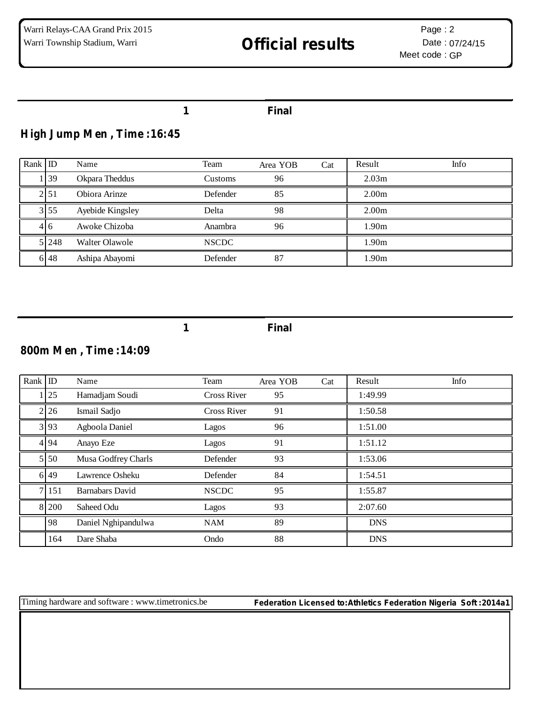#### **1 Final**

### **High Jump Men , Time :16:45**

| Rank ID |         | Name             | Team           | Area YOB | Cat | Result            | Info |
|---------|---------|------------------|----------------|----------|-----|-------------------|------|
|         | 39      | Okpara Theddus   | <b>Customs</b> | 96       |     | 2.03 <sub>m</sub> |      |
|         | 2151    | Obiora Arinze    | Defender       | 85       |     | 2.00 <sub>m</sub> |      |
|         | 3155    | Ayebide Kingsley | Delta          | 98       |     | 2.00 <sub>m</sub> |      |
|         | 416     | Awoke Chizoba    | Anambra        | 96       |     | 1.90m             |      |
|         | 5 2 4 8 | Walter Olawole   | <b>NSCDC</b>   |          |     | 1.90m             |      |
|         | 6 48    | Ashipa Abayomi   | Defender       | 87       |     | 1.90m             |      |

**1 Final**

#### **800m Men , Time :14:09**

| $Rank$ ID |                | Name                | Team               | Area YOB | Cat | Result     | Info |
|-----------|----------------|---------------------|--------------------|----------|-----|------------|------|
|           | $1 \,   \, 25$ | Hamadjam Soudi      | Cross River        | 95       |     | 1:49.99    |      |
|           | 2 26           | Ismail Sadjo        | <b>Cross River</b> | 91       |     | 1:50.58    |      |
|           | 3 93           | Agboola Daniel      | Lagos              | 96       |     | 1:51.00    |      |
|           | 4 9 4          | Anayo Eze           | Lagos              | 91       |     | 1:51.12    |      |
|           | 5 5 0          | Musa Godfrey Charls | Defender           | 93       |     | 1:53.06    |      |
|           | 6 49           | Lawrence Osheku     | Defender           | 84       |     | 1:54.51    |      |
|           | 7 151          | Barnabars David     | <b>NSCDC</b>       | 95       |     | 1:55.87    |      |
|           | 8 200          | Saheed Odu          | Lagos              | 93       |     | 2:07.60    |      |
|           | 98             | Daniel Nghipandulwa | <b>NAM</b>         | 89       |     | <b>DNS</b> |      |
|           | 164            | Dare Shaba          | Ondo               | 88       |     | <b>DNS</b> |      |

Timing hardware and software : www.timetronics.be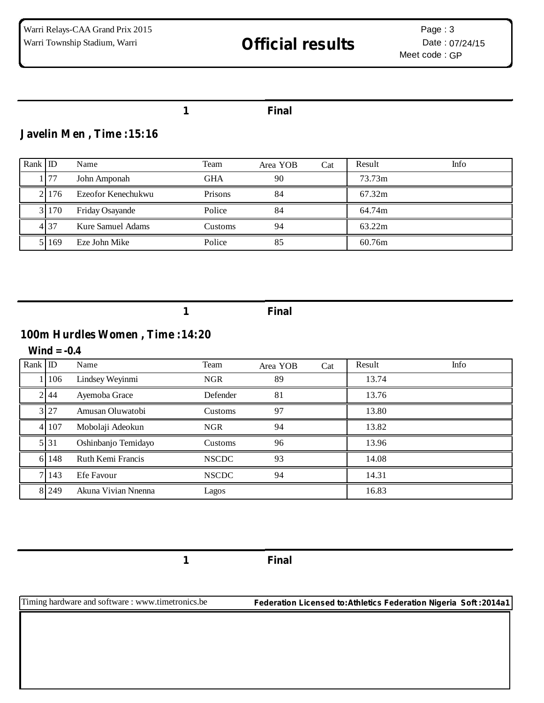#### **1 Final**

### **Javelin Men , Time :15:16**

| Rank ID |       | Name               | Team       | Area YOB | Cat | Result | Info |
|---------|-------|--------------------|------------|----------|-----|--------|------|
|         | 77    | John Amponah       | <b>GHA</b> | 90       |     | 73.73m |      |
|         | 2.176 | Ezeofor Kenechukwu | Prisons    | 84       |     | 67.32m |      |
|         | 3 170 | Friday Osayande    | Police     | 84       |     | 64.74m |      |
|         | 4 37  | Kure Samuel Adams  | Customs    | 94       |     | 63.22m |      |
|         | 169   | Eze John Mike      | Police     | 85       |     | 60.76m |      |

**1 Final**

### **100m Hurdles Women , Time :14:20**

#### **Wind = -0.4**

| Rank ID |         | Name                | Team         | Area YOB | Cat | Result | Info |
|---------|---------|---------------------|--------------|----------|-----|--------|------|
|         | 106     | Lindsey Weyinmi     | <b>NGR</b>   | 89       |     | 13.74  |      |
|         | 2 44    | Ayemoba Grace       | Defender     | 81       |     | 13.76  |      |
|         | 3 27    | Amusan Oluwatobi    | Customs      | 97       |     | 13.80  |      |
|         | 4 107   | Mobolaji Adeokun    | <b>NGR</b>   | 94       |     | 13.82  |      |
|         | 5 3 1   | Oshinbanjo Temidayo | Customs      | 96       |     | 13.96  |      |
|         | 6 148   | Ruth Kemi Francis   | <b>NSCDC</b> | 93       |     | 14.08  |      |
|         | 7 1 4 3 | Efe Favour          | <b>NSCDC</b> | 94       |     | 14.31  |      |
|         | 8 2 4 9 | Akuna Vivian Nnenna | Lagos        |          |     | 16.83  |      |

**1 Final**

Timing hardware and software : www.timetronics.be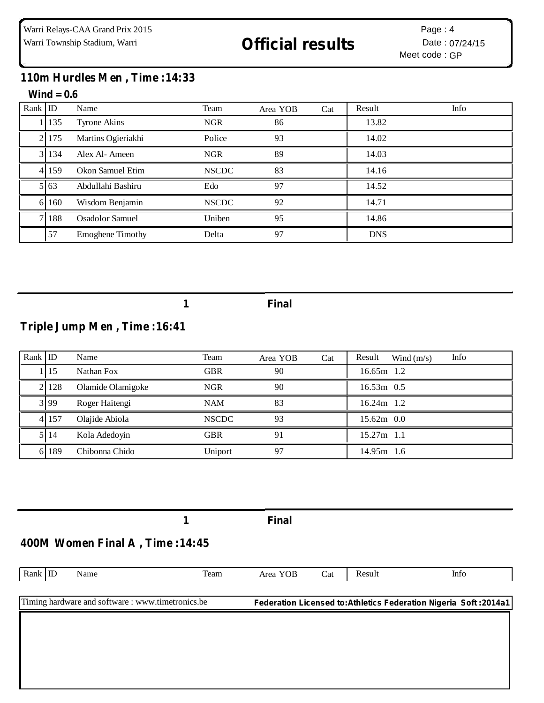### **110m Hurdles Men , Time :14:33**

#### **Wind = 0.6**

| Rank ID |             | Name                    | Team         | Area YOB | Cat | Result     | Info |
|---------|-------------|-------------------------|--------------|----------|-----|------------|------|
|         | 1135        | <b>Tyrone Akins</b>     | <b>NGR</b>   | 86       |     | 13.82      |      |
|         | 2 175       | Martins Ogieriakhi      | Police       | 93       |     | 14.02      |      |
|         | 3 1 1 3 4   | Alex Al-Ameen           | <b>NGR</b>   | 89       |     | 14.03      |      |
|         | 4 159       | Okon Samuel Etim        | <b>NSCDC</b> | 83       |     | 14.16      |      |
|         | $5\vert 63$ | Abdullahi Bashiru       | Edo          | 97       |     | 14.52      |      |
| 61      | 160         | Wisdom Benjamin         | <b>NSCDC</b> | 92       |     | 14.71      |      |
|         | 7 188       | <b>Osadolor Samuel</b>  | Uniben       | 95       |     | 14.86      |      |
|         | 57          | <b>Emoghene Timothy</b> | Delta        | 97       |     | <b>DNS</b> |      |

**1 Final**

### **Triple Jump Men , Time :16:41**

| Rank ID |               | Name              | Team         | Area YOB | Cat | Info<br>Result<br>Wind $(m/s)$ |  |
|---------|---------------|-------------------|--------------|----------|-----|--------------------------------|--|
|         | <sup>15</sup> | Nathan Fox        | <b>GBR</b>   | 90       |     | 16.65m 1.2                     |  |
|         | 21128         | Olamide Olamigoke | <b>NGR</b>   | 90       |     | $16.53m$ 0.5                   |  |
|         | 3 9 9         | Roger Haitengi    | <b>NAM</b>   | 83       |     | 16.24m 1.2                     |  |
|         | 4 157         | Olajide Abiola    | <b>NSCDC</b> | 93       |     | $15.62m$ 0.0                   |  |
|         | 5 1 1 4       | Kola Adedoyin     | <b>GBR</b>   | 91       |     | $15.27m$ 1.1                   |  |
|         | 189           | Chibonna Chido    | Uniport      | 97       |     | 14.95m 1.6                     |  |

Rank ID Name Team Area YOB Cat Result Info Timing hardware and software : www.timetronics.be **1 Final Federation Licensed to:Athletics Federation Nigeria Soft :2014a1 400M Women Final A , Time :14:45**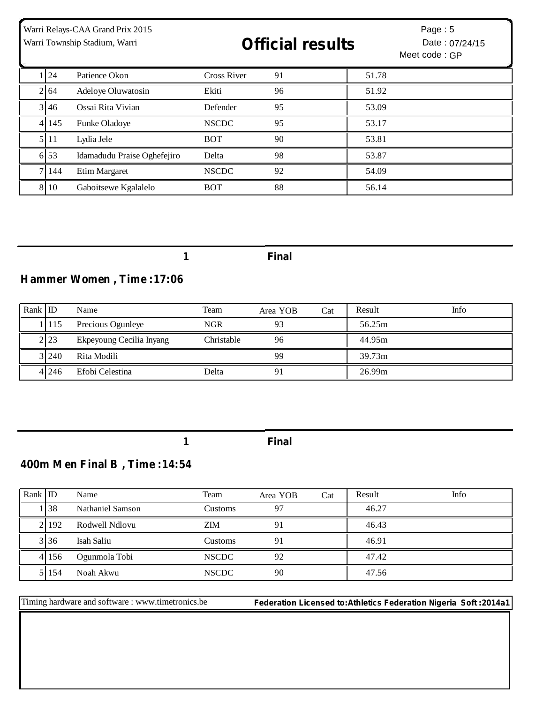| Warri Relays-CAA Grand Prix 2015<br>Warri Township Stadium, Warri |              |                             | <b>Official results</b> |    |       | Page: $5$<br>Date: 07/24/15<br>Meet code: GP |
|-------------------------------------------------------------------|--------------|-----------------------------|-------------------------|----|-------|----------------------------------------------|
|                                                                   | 1 24         | Patience Okon               | <b>Cross River</b>      | 91 | 51.78 |                                              |
|                                                                   | $2\sqrt{64}$ | Adeloye Oluwatosin          | Ekiti                   | 96 | 51.92 |                                              |
|                                                                   | 3 4 6        | Ossai Rita Vivian           | Defender                | 95 | 53.09 |                                              |
| 41                                                                | 145          | Funke Oladoye               | <b>NSCDC</b>            | 95 | 53.17 |                                              |
|                                                                   | 5 11         | Lydia Jele                  | <b>BOT</b>              | 90 | 53.81 |                                              |
|                                                                   | 6 53         | Idamadudu Praise Oghefejiro | Delta                   | 98 | 53.87 |                                              |
| 71                                                                | 144          | Etim Margaret               | <b>NSCDC</b>            | 92 | 54.09 |                                              |
| 8                                                                 | 10           | Gaboitsewe Kgalalelo        | <b>BOT</b>              | 88 | 56.14 |                                              |

## **Hammer Women , Time :17:06**

| Rank $ $ ID |         | Name                     | Team       | Area YOB | Cat | Result | Info |
|-------------|---------|--------------------------|------------|----------|-----|--------|------|
|             | 1115    | Precious Ogunleye        | <b>NGR</b> | 93       |     | 56.25m |      |
|             | 2.23    | Ekpeyoung Cecilia Inyang | Christable | 96       |     | 44.95m |      |
|             | 3 2 4 0 | Rita Modili              |            | 99       |     | 39.73m |      |
|             | 4 246   | Efobi Celestina          | Delta      | 91       |     | 26.99m |      |

**1 Final**

## **400m Men Final B , Time :14:54**

| Rank ID |                  | Name             | Team         | Area YOB | Cat | Result | Info |
|---------|------------------|------------------|--------------|----------|-----|--------|------|
|         | .138             | Nathaniel Samson | Customs      | 97       |     | 46.27  |      |
|         | 2.192            | Rodwell Ndlovu   | <b>ZIM</b>   | 91       |     | 46.43  |      |
|         | $3\overline{36}$ | Isah Saliu       | Customs      |          |     | 46.91  |      |
|         | 4 156            | Ogunmola Tobi    | <b>NSCDC</b> | 92       |     | 47.42  |      |
|         | 51154            | Noah Akwu        | <b>NSCDC</b> | 90       |     | 47.56  |      |

Timing hardware and software : www.timetronics.be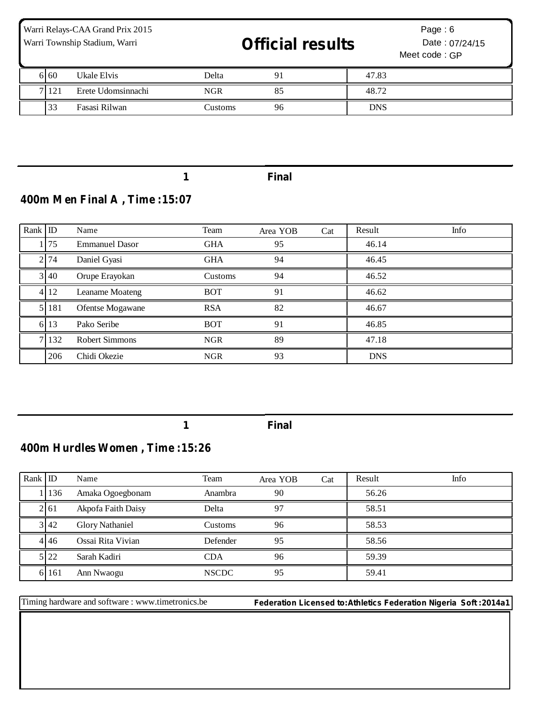| Warri Relays-CAA Grand Prix 2015<br>Warri Township Stadium, Warri |      |                    | <b>Official results</b> |    | Page: $6$<br>Date: 07/24/15<br>Meet code: GP |  |
|-------------------------------------------------------------------|------|--------------------|-------------------------|----|----------------------------------------------|--|
|                                                                   | 6.60 | Ukale Elvis        | Delta                   | 91 | 47.83                                        |  |
|                                                                   | 121  | Erete Udomsinnachi | <b>NGR</b>              | 85 | 48.72                                        |  |
|                                                                   | 33   | Fasasi Rilwan      | Customs                 | 96 | <b>DNS</b>                                   |  |

## **400m Men Final A , Time :15:07**

| Rank ID |       | Name                  | Team       | Area YOB | Cat | Result     | Info |
|---------|-------|-----------------------|------------|----------|-----|------------|------|
|         | 1 75  | <b>Emmanuel Dasor</b> | <b>GHA</b> | 95       |     | 46.14      |      |
|         | 2 74  | Daniel Gyasi          | <b>GHA</b> | 94       |     | 46.45      |      |
|         | 3 40  | Orupe Erayokan        | Customs    | 94       |     | 46.52      |      |
|         | 4 12  | Leaname Moateng       | <b>BOT</b> | 91       |     | 46.62      |      |
|         | 5 181 | Ofentse Mogawane      | <b>RSA</b> | 82       |     | 46.67      |      |
|         | 6 13  | Pako Seribe           | <b>BOT</b> | 91       |     | 46.85      |      |
|         | 7 132 | <b>Robert Simmons</b> | <b>NGR</b> | 89       |     | 47.18      |      |
|         | 206   | Chidi Okezie          | <b>NGR</b> | 93       |     | <b>DNS</b> |      |

**1 Final**

## **400m Hurdles Women , Time :15:26**

| $Rank$ ID |      | Name                   | Team         | Area YOB | Cat | Result | Info |
|-----------|------|------------------------|--------------|----------|-----|--------|------|
|           | 136  | Amaka Ogoegbonam       | Anambra      | 90       |     | 56.26  |      |
|           | 2161 | Akpofa Faith Daisy     | Delta        | 97       |     | 58.51  |      |
|           | 3.42 | <b>Glory Nathaniel</b> | Customs      | 96       |     | 58.53  |      |
|           | 4146 | Ossai Rita Vivian      | Defender     | 95       |     | 58.56  |      |
|           | 5 22 | Sarah Kadiri           | <b>CDA</b>   | 96       |     | 59.39  |      |
| 61        | 161  | Ann Nwaogu             | <b>NSCDC</b> | 95       |     | 59.41  |      |

Timing hardware and software : www.timetronics.be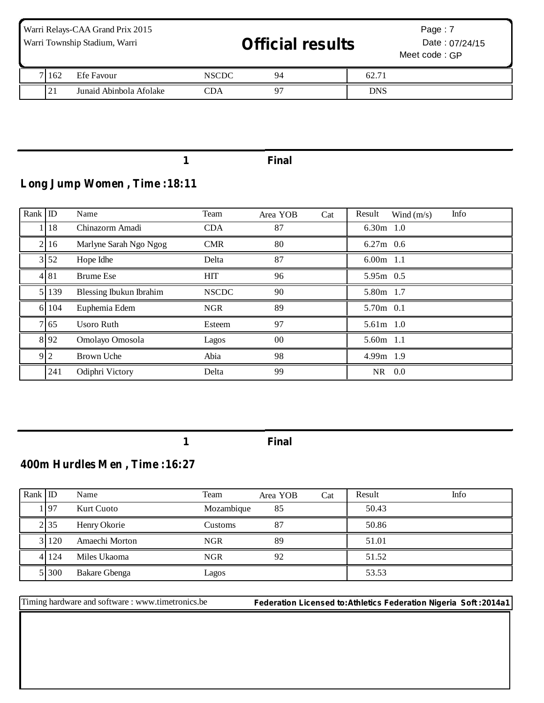| Warri Relays-CAA Grand Prix 2015<br>Warri Township Stadium, Warri |             |                         | <b>Official results</b> |                |            | Page: 7<br>Date: 07/24/15<br>Meet code: GP |
|-------------------------------------------------------------------|-------------|-------------------------|-------------------------|----------------|------------|--------------------------------------------|
|                                                                   | 1162        | Efe Favour              | <b>NSCDC</b>            | 94             | 62.71      |                                            |
|                                                                   | $2^{\circ}$ | Junaid Abinbola Afolake | CDA                     | Q <sub>0</sub> | <b>DNS</b> |                                            |

## **Long Jump Women , Time :18:11**

| Rank             | $\mathbb{D}$       | Name                    | Team         | Area YOB | Cat | Info<br>Result<br>Wind $(m/s)$ |
|------------------|--------------------|-------------------------|--------------|----------|-----|--------------------------------|
|                  | 18                 | Chinazorm Amadi         | <b>CDA</b>   | 87       |     | 6.30 $m$ 1.0                   |
| $\overline{2}$ l | 16                 | Marlyne Sarah Ngo Ngog  | <b>CMR</b>   | 80       |     | $6.27m$ 0.6                    |
|                  | $3 \overline{)52}$ | Hope Idhe               | Delta        | 87       |     | $6.00m$ 1.1                    |
|                  | 4 81               | <b>Brume Ese</b>        | <b>HIT</b>   | 96       |     | 5.95m 0.5                      |
|                  | 139                | Blessing Ibukun Ibrahim | <b>NSCDC</b> | 90       |     | 5.80m 1.7                      |
|                  | 6 104              | Euphemia Edem           | <b>NGR</b>   | 89       |     | 5.70m 0.1                      |
|                  | 7 65               | Usoro Ruth              | Esteem       | 97       |     | 5.61m 1.0                      |
|                  | 8 9 2              | Omolayo Omosola         | Lagos        | 00       |     | 5.60m 1.1                      |
|                  | 9 <sub>2</sub>     | Brown Uche              | Abia         | 98       |     | $4.99m$ 1.9                    |
|                  | 241                | Odiphri Victory         | Delta        | 99       |     | $NR$ 0.0                       |

**1 Final**

## **400m Hurdles Men , Time :16:27**

| Rank $ $ ID |         | Name                 | Team       | Area YOB | Cat | Result | Info |
|-------------|---------|----------------------|------------|----------|-----|--------|------|
|             | 197ء    | Kurt Cuoto           | Mozambique | 85       |     | 50.43  |      |
|             | 2.35    | Henry Okorie         | Customs    | 87       |     | 50.86  |      |
|             | 3 120   | Amaechi Morton       | <b>NGR</b> | 89       |     | 51.01  |      |
|             | 4 1 2 4 | Miles Ukaoma         | <b>NGR</b> | 92       |     | 51.52  |      |
|             | 5 300   | <b>Bakare Gbenga</b> | Lagos      |          |     | 53.53  |      |

Timing hardware and software : www.timetronics.be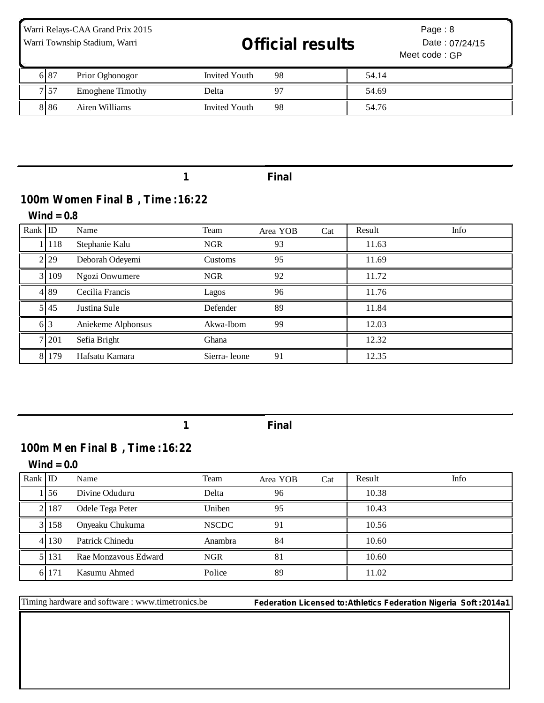| Warri Relays-CAA Grand Prix 2015<br>Warri Township Stadium, Warri |      |                         | <b>Official results</b> |    | Page: $8$<br>Date: 07/24/15<br>Meet code: GP |  |
|-------------------------------------------------------------------|------|-------------------------|-------------------------|----|----------------------------------------------|--|
|                                                                   | 6 87 | Prior Oghonogor         | <b>Invited Youth</b>    | 98 | 54.14                                        |  |
|                                                                   | 7 57 | <b>Emoghene Timothy</b> | Delta                   | 97 | 54.69                                        |  |
|                                                                   | 886  | Airen Williams          | Invited Youth           | 98 | 54.76                                        |  |

### **100m Women Final B , Time :16:22**

#### **Wind = 0.8**

| Rank ID |                  | Name               | Team         | Area YOB | Cat | Result | Info |
|---------|------------------|--------------------|--------------|----------|-----|--------|------|
|         | 1   118          | Stephanie Kalu     | <b>NGR</b>   | 93       |     | 11.63  |      |
|         | 2 29             | Deborah Odeyemi    | Customs      | 95       |     | 11.69  |      |
|         | 3 109            | Ngozi Onwumere     | <b>NGR</b>   | 92       |     | 11.72  |      |
|         | 489              | Cecilia Francis    | Lagos        | 96       |     | 11.76  |      |
|         | 5 4 5            | Justina Sule       | Defender     | 89       |     | 11.84  |      |
|         | $6\overline{)3}$ | Aniekeme Alphonsus | Akwa-Ibom    | 99       |     | 12.03  |      |
|         | 7 201            | Sefia Bright       | Ghana        |          |     | 12.32  |      |
|         | 8 1 7 9          | Hafsatu Kamara     | Sierra-leone | 91       |     | 12.35  |      |

**1 Final**

## **100m Men Final B , Time :16:22**

**Wind = 0.0**

| Rank ID |           | Name                 | Team         | Area YOB | Cat | Result | Info |
|---------|-----------|----------------------|--------------|----------|-----|--------|------|
|         | 156       | Divine Oduduru       | Delta        | 96       |     | 10.38  |      |
|         | 2 187     | Odele Tega Peter     | Uniben       | 95       |     | 10.43  |      |
|         | 3 1 5 8   | Onyeaku Chukuma      | <b>NSCDC</b> | 91       |     | 10.56  |      |
|         | 4 1 1 3 0 | Patrick Chinedu      | Anambra      | 84       |     | 10.60  |      |
|         | 5 1 1 3 1 | Rae Monzavous Edward | <b>NGR</b>   | 81       |     | 10.60  |      |
|         | 6 171     | Kasumu Ahmed         | Police       | 89       |     | 11.02  |      |

Timing hardware and software : www.timetronics.be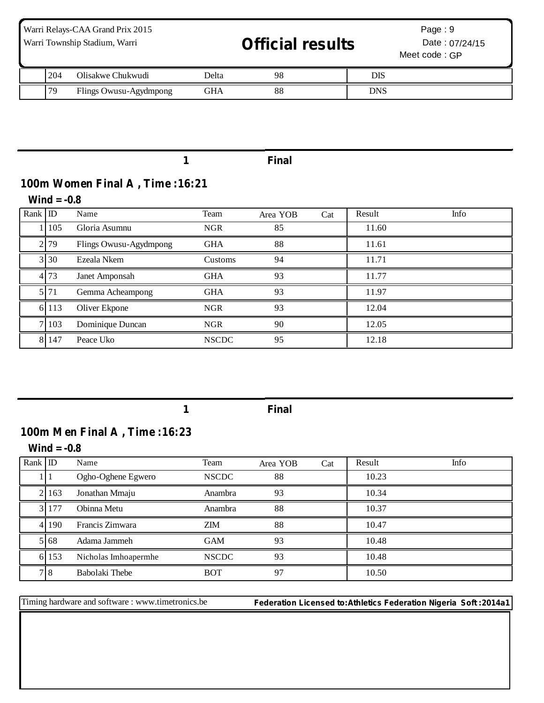| Warri Relays-CAA Grand Prix 2015<br>Warri Township Stadium, Warri |     |                        |       | <b>Official results</b> |            | Page: $9$<br>Date: 07/24/15<br>Meet code: GP |  |
|-------------------------------------------------------------------|-----|------------------------|-------|-------------------------|------------|----------------------------------------------|--|
|                                                                   | 204 | Olisakwe Chukwudi      | Delta | 98                      | <b>DIS</b> |                                              |  |
|                                                                   | 79  | Flings Owusu-Agydmpong | GHA   | 88                      | <b>DNS</b> |                                              |  |

## **100m Women Final A , Time :16:21**

**Wind = -0.8**

| Rank ID |         | Name                   | Team         | Area YOB | Cat | Result | Info |
|---------|---------|------------------------|--------------|----------|-----|--------|------|
|         | 105     | Gloria Asumnu          | <b>NGR</b>   | 85       |     | 11.60  |      |
|         | 2 79    | Flings Owusu-Agydmpong | <b>GHA</b>   | 88       |     | 11.61  |      |
|         | 3 30    | Ezeala Nkem            | Customs      | 94       |     | 11.71  |      |
|         | 4 73    | Janet Amponsah         | <b>GHA</b>   | 93       |     | 11.77  |      |
|         | 5 71    | Gemma Acheampong       | <b>GHA</b>   | 93       |     | 11.97  |      |
|         | 6 1 1 3 | Oliver Ekpone          | <b>NGR</b>   | 93       |     | 12.04  |      |
| 7.      | 103     | Dominique Duncan       | <b>NGR</b>   | 90       |     | 12.05  |      |
| 81      | 147     | Peace Uko              | <b>NSCDC</b> | 95       |     | 12.18  |      |

**1 Final**

## **100m Men Final A , Time :16:23**

**Wind = -0.8**

| Rank ID |      | Name                 | Team         | Area YOB | Cat | Result | Info |
|---------|------|----------------------|--------------|----------|-----|--------|------|
|         |      | Ogho-Oghene Egwero   | <b>NSCDC</b> | 88       |     | 10.23  |      |
|         | 163  | Jonathan Mmaju       | Anambra      | 93       |     | 10.34  |      |
| 31      | 177  | Obinna Metu          | Anambra      | 88       |     | 10.37  |      |
| 41      | 190  | Francis Zimwara      | <b>ZIM</b>   | 88       |     | 10.47  |      |
|         | 5168 | Adama Jammeh         | <b>GAM</b>   | 93       |     | 10.48  |      |
| 61      | 153  | Nicholas Imhoapermhe | <b>NSCDC</b> | 93       |     | 10.48  |      |
|         | 7 8  | Babolaki Thebe       | <b>BOT</b>   | 97       |     | 10.50  |      |

Timing hardware and software : www.timetronics.be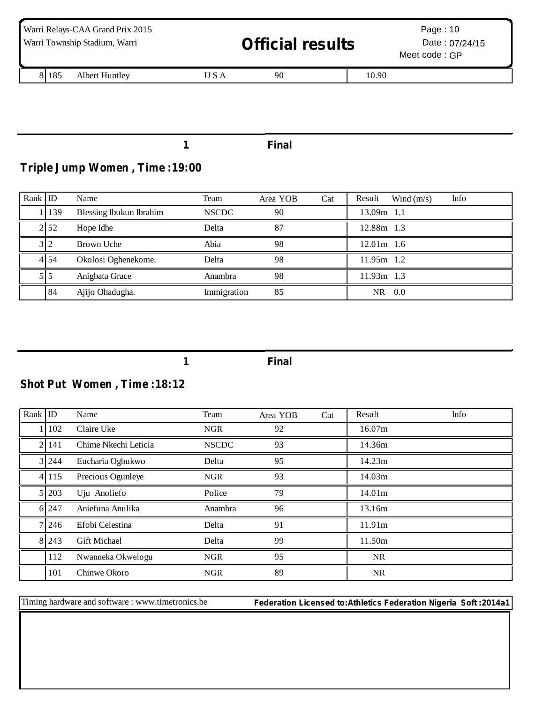| Warri Relays-CAA Grand Prix 2015<br>Warri Township Stadium, Warri |       | <b>Official results</b> |       | Page: $10$<br>Date: 07/24/15<br>Meet code: GP |  |  |
|-------------------------------------------------------------------|-------|-------------------------|-------|-----------------------------------------------|--|--|
| 8 1 8 5<br>Albert Huntley                                         | U S A | 90                      | 10.90 |                                               |  |  |

## **Triple Jump Women , Time :19:00**

| Rank ID |            | Name                    | Team         | Area YOB | Cat | Info<br>Result<br>Wind $(m/s)$ |
|---------|------------|-------------------------|--------------|----------|-----|--------------------------------|
|         | 139        | Blessing Ibukun Ibrahim | <b>NSCDC</b> | 90       |     | 13.09m 1.1                     |
|         | 2.52       | Hope Idhe               | Delta        | 87       |     | 12.88m 1.3                     |
|         | $3\vert 2$ | Brown Uche              | Abia         | 98       |     | $12.01m$ 1.6                   |
|         | 4154       | Okolosi Oghenekome.     | Delta        | 98       |     | 11.95m 1.2                     |
|         | 515        | Anigbata Grace          | Anambra      | 98       |     | $11.93m$ 1.3                   |
|         | 84         | Ajijo Ohadugha.         | Immigration  | 85       |     | 0.0<br>NR.                     |

**1 Final**

## **Shot Put Women , Time :18:12**

| Rank           | $\mathbb{D}$ | Name                 | Team         | Area YOB | Cat | Result             | Info |
|----------------|--------------|----------------------|--------------|----------|-----|--------------------|------|
|                | 102          | Claire Uke           | <b>NGR</b>   | 92       |     | 16.07m             |      |
| $\overline{2}$ | 141          | Chime Nkechi Leticia | <b>NSCDC</b> | 93       |     | 14.36m             |      |
|                | 3 2 4 4      | Eucharia Ogbukwo     | Delta        | 95       |     | 14.23m             |      |
|                | 4 1 1 5      | Precious Ogunleye    | <b>NGR</b>   | 93       |     | 14.03m             |      |
|                | 5 203        | Uju Anoliefo         | Police       | 79       |     | 14.01 <sub>m</sub> |      |
|                | 6 247        | Aniefuna Anulika     | Anambra      | 96       |     | 13.16m             |      |
|                | 7 246        | Efobi Celestina      | Delta        | 91       |     | 11.91m             |      |
|                | 8 2 4 3      | <b>Gift Michael</b>  | Delta        | 99       |     | 11.50m             |      |
|                | 112          | Nwanneka Okwelogu    | <b>NGR</b>   | 95       |     | <b>NR</b>          |      |
|                | 101          | Chinwe Okoro         | <b>NGR</b>   | 89       |     | NR.                |      |

Timing hardware and software : www.timetronics.be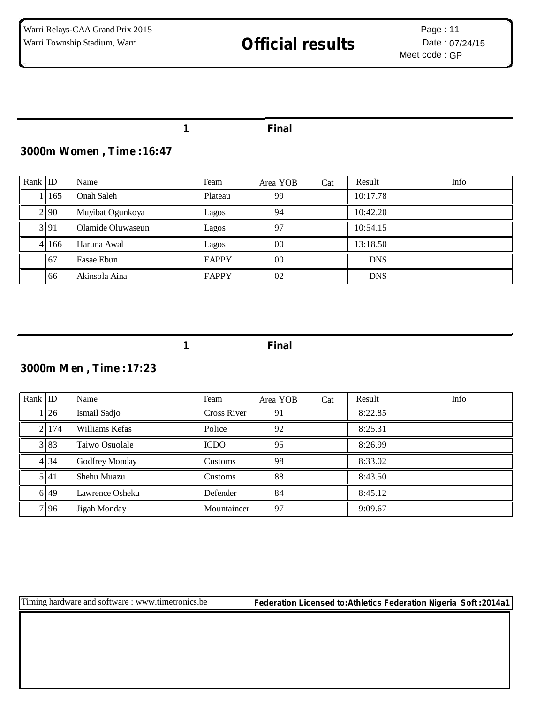### **1 Final**

### **3000m Women , Time :16:47**

| Rank ID |           | Name              | Team         | Area YOB | Cat | Result     | Info |
|---------|-----------|-------------------|--------------|----------|-----|------------|------|
|         | 165       | Onah Saleh        | Plateau      | 99       |     | 10:17.78   |      |
|         | 2.90      | Muyibat Ogunkoya  | Lagos        | 94       |     | 10:42.20   |      |
|         | 3 9 1     | Olamide Oluwaseun | Lagos        | 97       |     | 10:54.15   |      |
|         | 4 1 1 6 6 | Haruna Awal       | Lagos        | 00       |     | 13:18.50   |      |
|         | -67       | Fasae Ebun        | <b>FAPPY</b> | 00       |     | <b>DNS</b> |      |
|         | 66        | Akinsola Aina     | <b>FAPPY</b> | 02       |     | <b>DNS</b> |      |

**1 Final**

## **3000m Men , Time :17:23**

| Rank ID |       | Name            | Team           | Area YOB | Cat | Result  | Info |
|---------|-------|-----------------|----------------|----------|-----|---------|------|
|         | 1 26  | Ismail Sadjo    | Cross River    | 91       |     | 8:22.85 |      |
|         | 21174 | Williams Kefas  | Police         | 92       |     | 8:25.31 |      |
|         | 3 83  | Taiwo Osuolale  | <b>ICDO</b>    | 95       |     | 8:26.99 |      |
|         | 4 34  | Godfrey Monday  | <b>Customs</b> | 98       |     | 8:33.02 |      |
|         | 5 4 1 | Shehu Muazu     | Customs        | 88       |     | 8:43.50 |      |
|         | 6 4 9 | Lawrence Osheku | Defender       | 84       |     | 8:45.12 |      |
|         | 796   | Jigah Monday    | Mountaineer    | 97       |     | 9:09.67 |      |

Timing hardware and software : www.timetronics.be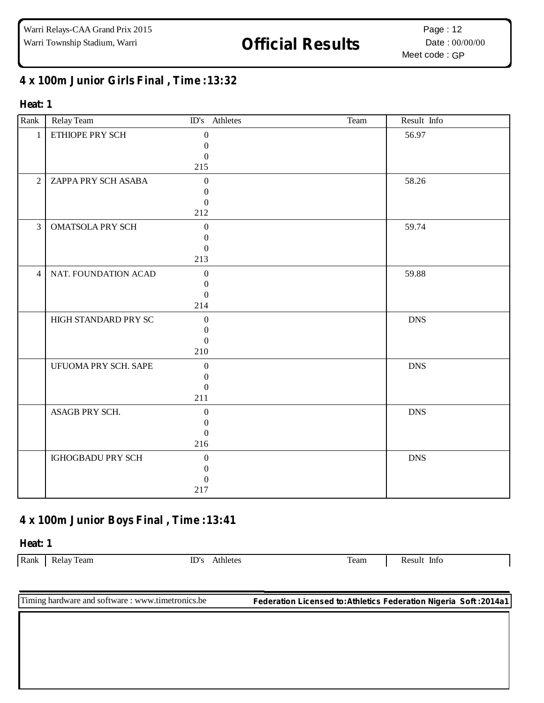# Warri Township Stadium, Warri **1988 Official Results** Date: 00/00/00

### **x 100m Junior Girls Final , Time :13:32**

#### **Heat: 1**

| Rank           | Relay Team              | ID's Athletes    | Team | Result Info |
|----------------|-------------------------|------------------|------|-------------|
| $\mathbf{1}$   | ETHIOPE PRY SCH         | $\boldsymbol{0}$ |      | 56.97       |
|                |                         | $\Omega$         |      |             |
|                |                         | $\Omega$         |      |             |
|                |                         | 215              |      |             |
| $\overline{2}$ | ZAPPA PRY SCH ASABA     | $\overline{0}$   |      | 58.26       |
|                |                         | 0                |      |             |
|                |                         | $\Omega$         |      |             |
|                |                         | 212              |      |             |
| $\overline{3}$ | <b>OMATSOLA PRY SCH</b> | $\overline{0}$   |      | 59.74       |
|                |                         | 0                |      |             |
|                |                         | $\Omega$         |      |             |
|                |                         | 213              |      |             |
| $\overline{4}$ | NAT. FOUNDATION ACAD    | $\overline{0}$   |      | 59.88       |
|                |                         | $\Omega$         |      |             |
|                |                         | $\Omega$         |      |             |
|                |                         | 214              |      |             |
|                | HIGH STANDARD PRY SC    | $\boldsymbol{0}$ |      | <b>DNS</b>  |
|                |                         | $\Omega$         |      |             |
|                |                         | $\Omega$         |      |             |
|                |                         | 210              |      |             |
|                | UFUOMA PRY SCH. SAPE    | $\theta$         |      | <b>DNS</b>  |
|                |                         | $\Omega$         |      |             |
|                |                         | $\Omega$         |      |             |
|                |                         | 211              |      |             |
|                | ASAGB PRY SCH.          | $\boldsymbol{0}$ |      | <b>DNS</b>  |
|                |                         | $\mathbf{0}$     |      |             |
|                |                         | $\Omega$         |      |             |
|                |                         | 216              |      |             |
|                | IGHOGBADU PRY SCH       | $\boldsymbol{0}$ |      | <b>DNS</b>  |
|                |                         | $\Omega$         |      |             |
|                |                         | 0                |      |             |
|                |                         | 217              |      |             |

## **x 100m Junior Boys Final , Time :13:41**

#### **Heat: 1**

Rank Relay Team ID's Athletes Team Result Info

Timing hardware and software : www.timetronics.be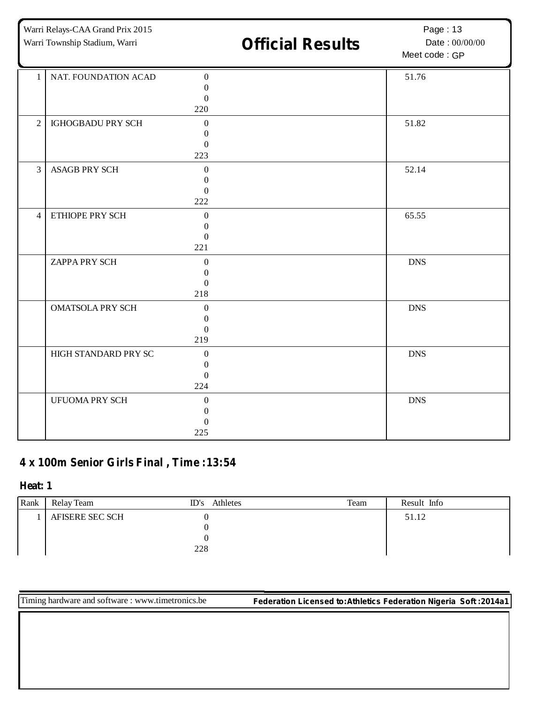Warri Relays-CAA Grand Prix 2015

# Warri Township Stadium, Warri **1988 Official Results** Date: 00/00/00

Page: 13 Date: 00/00/00

Meet code : GP

| 1              | NAT. FOUNDATION ACAD    | $\overline{0}$   | 51.76      |
|----------------|-------------------------|------------------|------------|
|                |                         | $\Omega$         |            |
|                |                         | $\Omega$         |            |
|                |                         | 220              |            |
|                |                         |                  |            |
| 2              | IGHOGBADU PRY SCH       | $\mathbf{0}$     | 51.82      |
|                |                         | $\theta$         |            |
|                |                         | $\overline{0}$   |            |
|                |                         | 223              |            |
| $\overline{3}$ | <b>ASAGB PRY SCH</b>    | $\theta$         | 52.14      |
|                |                         | $\Omega$         |            |
|                |                         |                  |            |
|                |                         | $\Omega$         |            |
|                |                         | 222              |            |
| $\overline{4}$ | ETHIOPE PRY SCH         | $\mathbf{0}$     | 65.55      |
|                |                         | $\Omega$         |            |
|                |                         | $\theta$         |            |
|                |                         | 221              |            |
|                |                         |                  |            |
|                | ZAPPA PRY SCH           | $\theta$         | <b>DNS</b> |
|                |                         | $\Omega$         |            |
|                |                         | $\Omega$         |            |
|                |                         | 218              |            |
|                | <b>OMATSOLA PRY SCH</b> | $\boldsymbol{0}$ | <b>DNS</b> |
|                |                         |                  |            |
|                |                         | $\theta$         |            |
|                |                         | $\Omega$         |            |
|                |                         | 219              |            |
|                | HIGH STANDARD PRY SC    | $\boldsymbol{0}$ | <b>DNS</b> |
|                |                         | $\mathbf{0}$     |            |
|                |                         | $\mathbf{0}$     |            |
|                |                         | 224              |            |
|                |                         |                  |            |
|                | <b>UFUOMA PRY SCH</b>   | $\theta$         | <b>DNS</b> |
|                |                         | $\mathbf{0}$     |            |
|                |                         |                  |            |
|                |                         | 225              |            |
|                |                         |                  |            |

### **x 100m Senior Girls Final , Time :13:54**

**Heat: 1**

| Rank | Relay Team      | Athletes<br>ID's | Team | Result Info |  |
|------|-----------------|------------------|------|-------------|--|
|      | AFISERE SEC SCH |                  |      | 51.12       |  |
|      |                 |                  |      |             |  |
|      |                 |                  |      |             |  |
|      |                 | 228              |      |             |  |

Timing hardware and software : www.timetronics.be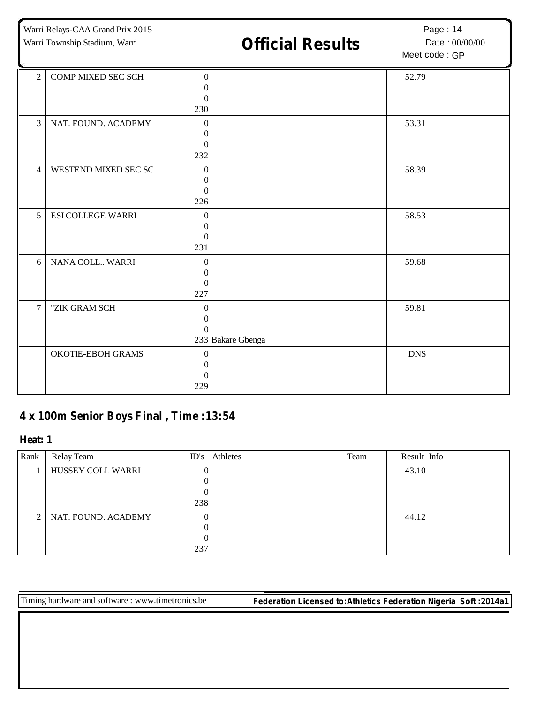Warri Relays-CAA Grand Prix 2015

# Warri Township Stadium, Warri **1988 Official Results** Date: 00/00/00

Page: 14 Date: 00/00/00

Meet code : GP

| 2              | COMP MIXED SEC SCH       | $\Omega$          | 52.79      |
|----------------|--------------------------|-------------------|------------|
|                |                          | 0                 |            |
|                |                          | $\Omega$          |            |
|                |                          | 230               |            |
| $\overline{3}$ | NAT. FOUND. ACADEMY      | $\Omega$          | 53.31      |
|                |                          | $\theta$          |            |
|                |                          | $\theta$          |            |
|                |                          | 232               |            |
| $\overline{4}$ | WESTEND MIXED SEC SC     | $\mathbf{0}$      | 58.39      |
|                |                          | $\theta$          |            |
|                |                          | $\Omega$          |            |
|                |                          | 226               |            |
| $\overline{5}$ | <b>ESI COLLEGE WARRI</b> | $\Omega$          | 58.53      |
|                |                          | $\theta$          |            |
|                |                          | $\Omega$          |            |
|                |                          | 231               |            |
| 6              | NANA COLL WARRI          | $\Omega$          | 59.68      |
|                |                          |                   |            |
|                |                          | $\Omega$          |            |
|                |                          | 227               |            |
| $\overline{7}$ | "ZIK GRAM SCH            | $\Omega$          | 59.81      |
|                |                          | 0                 |            |
|                |                          | $\Omega$          |            |
|                |                          | 233 Bakare Gbenga |            |
|                | OKOTIE-EBOH GRAMS        | $\mathbf{0}$      | <b>DNS</b> |
|                |                          | $\mathbf{\Omega}$ |            |
|                |                          |                   |            |
|                |                          | 229               |            |

### **x 100m Senior Boys Final , Time :13:54**

#### **Heat: 1**

| Rank           | Relay Team          | ID's Athletes | Team | Result Info |
|----------------|---------------------|---------------|------|-------------|
|                | HUSSEY COLL WARRI   |               |      | 43.10       |
|                |                     |               |      |             |
|                |                     |               |      |             |
|                |                     | 238           |      |             |
| 2 <sub>1</sub> | NAT. FOUND. ACADEMY | 0             |      | 44.12       |
|                |                     |               |      |             |
|                |                     |               |      |             |
|                |                     | 237           |      |             |

Timing hardware and software : www.timetronics.be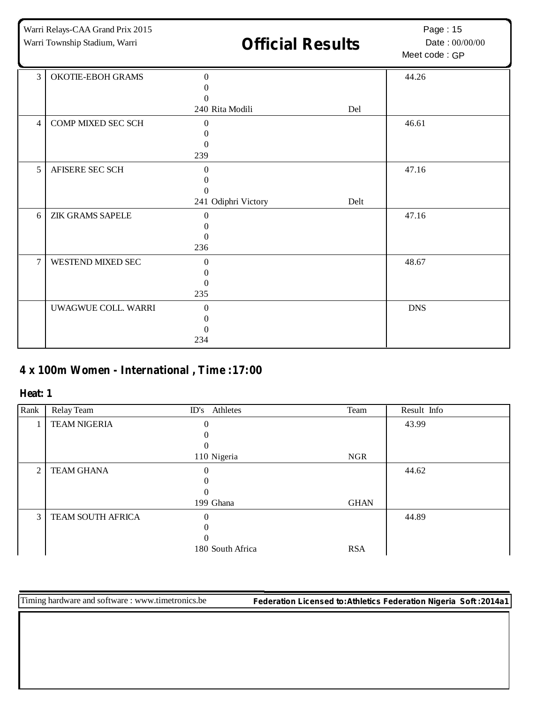| Warri Relays-CAA Grand Prix 2015<br>Warri Township Stadium, Warri |                         | <b>Official Results</b>                                         | Page: 15<br>Date: 00/00/00<br>Meet code: GP |            |
|-------------------------------------------------------------------|-------------------------|-----------------------------------------------------------------|---------------------------------------------|------------|
| 3                                                                 | OKOTIE-EBOH GRAMS       | $\Omega$<br>0<br>$\Omega$<br>240 Rita Modili                    | Del                                         | 44.26      |
| 4                                                                 | COMP MIXED SEC SCH      | $\Omega$<br>$\theta$<br>$\mathbf{0}$<br>239                     |                                             | 46.61      |
| 5                                                                 | AFISERE SEC SCH         | $\Omega$<br>$\Omega$<br>$\boldsymbol{0}$<br>241 Odiphri Victory | Delt                                        | 47.16      |
| 6                                                                 | <b>ZIK GRAMS SAPELE</b> | $\Omega$<br>$\Omega$<br>$\Omega$<br>236                         |                                             | 47.16      |
| $\overline{7}$                                                    | WESTEND MIXED SEC       | $\Omega$<br>$\boldsymbol{0}$<br>$\Omega$<br>235                 |                                             | 48.67      |
|                                                                   | UWAGWUE COLL. WARRI     | $\Omega$<br>0<br>$\Omega$<br>234                                |                                             | <b>DNS</b> |

## **x 100m Women - International , Time :17:00**

#### **Heat: 1**

| Rank | Relay Team          | ID's Athletes    | Team        | Result Info |
|------|---------------------|------------------|-------------|-------------|
|      | <b>TEAM NIGERIA</b> | $\theta$         |             | 43.99       |
|      |                     |                  |             |             |
|      |                     |                  |             |             |
|      |                     | 110 Nigeria      | <b>NGR</b>  |             |
| 2    | <b>TEAM GHANA</b>   |                  |             | 44.62       |
|      |                     |                  |             |             |
|      |                     | $\theta$         |             |             |
|      |                     | 199 Ghana        | <b>GHAN</b> |             |
| 3    | TEAM SOUTH AFRICA   | $\theta$         |             | 44.89       |
|      |                     |                  |             |             |
|      |                     | $\theta$         |             |             |
|      |                     | 180 South Africa | <b>RSA</b>  |             |

Timing hardware and software : www.timetronics.be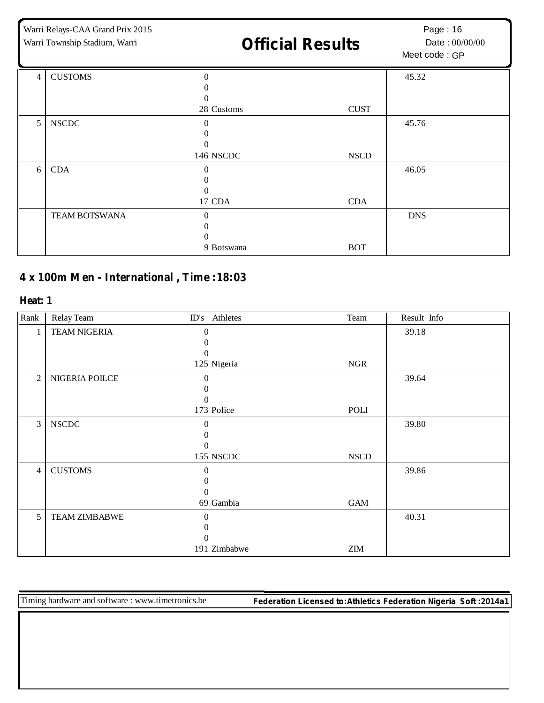| Warri Relays-CAA Grand Prix 2015<br>Warri Township Stadium, Warri |                      | <b>Official Results</b> |             | Page: 16<br>Date: 00/00/00<br>Meet code: GP |
|-------------------------------------------------------------------|----------------------|-------------------------|-------------|---------------------------------------------|
| $\overline{4}$                                                    | <b>CUSTOMS</b>       | $\Omega$                |             | 45.32                                       |
|                                                                   |                      | $\theta$                |             |                                             |
|                                                                   |                      | 28 Customs              | <b>CUST</b> |                                             |
| 5                                                                 | <b>NSCDC</b>         | $\Omega$                |             | 45.76                                       |
|                                                                   |                      |                         |             |                                             |
|                                                                   |                      |                         |             |                                             |
|                                                                   |                      | 146 NSCDC               | <b>NSCD</b> |                                             |
| 6                                                                 | <b>CDA</b>           | 0                       |             | 46.05                                       |
|                                                                   |                      |                         |             |                                             |
|                                                                   |                      | 0                       |             |                                             |
|                                                                   |                      | 17 CDA                  | <b>CDA</b>  |                                             |
|                                                                   | <b>TEAM BOTSWANA</b> | $\Omega$                |             | <b>DNS</b>                                  |
|                                                                   |                      | $\theta$                |             |                                             |
|                                                                   |                      | $\theta$                |             |                                             |
|                                                                   |                      | 9 Botswana              | <b>BOT</b>  |                                             |

## **x 100m Men - International , Time :18:03**

#### **Heat: 1**

| Rank           | Relay Team           | ID's Athletes | Team        | Result Info |
|----------------|----------------------|---------------|-------------|-------------|
| 1              | <b>TEAM NIGERIA</b>  | $\mathbf{0}$  |             | 39.18       |
|                |                      |               |             |             |
|                |                      | $\mathbf{0}$  |             |             |
|                |                      | 125 Nigeria   | <b>NGR</b>  |             |
| $\overline{2}$ | NIGERIA POILCE       | $\theta$      |             | 39.64       |
|                |                      |               |             |             |
|                |                      | 0             |             |             |
|                |                      | 173 Police    | POLI        |             |
| 3              | <b>NSCDC</b>         | $\Omega$      |             | 39.80       |
|                |                      |               |             |             |
|                |                      | 0             |             |             |
|                |                      | 155 NSCDC     | <b>NSCD</b> |             |
| $\overline{4}$ | <b>CUSTOMS</b>       | $\mathbf{0}$  |             | 39.86       |
|                |                      |               |             |             |
|                |                      | $\theta$      |             |             |
|                |                      | 69 Gambia     | <b>GAM</b>  |             |
| $\overline{5}$ | <b>TEAM ZIMBABWE</b> | $\theta$      |             | 40.31       |
|                |                      | 0             |             |             |
|                |                      | 0             |             |             |
|                |                      | 191 Zimbabwe  | <b>ZIM</b>  |             |

Timing hardware and software : www.timetronics.be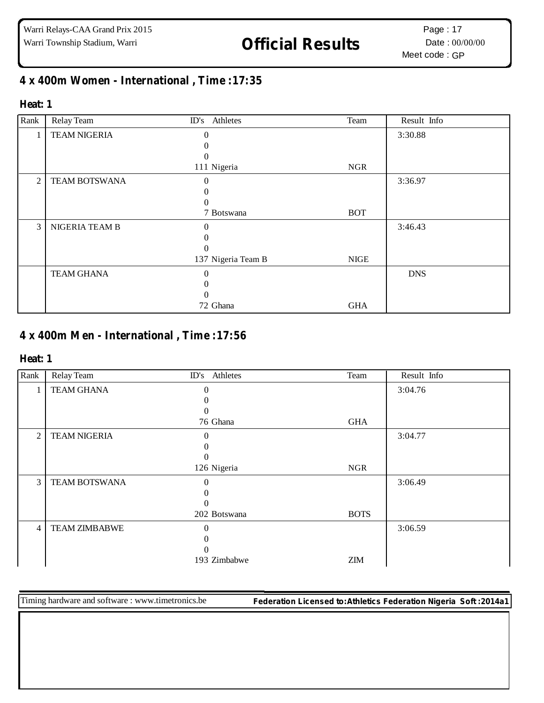# Warri Township Stadium, Warri **1988 Official Results** Date: 00/00/00

## **x 400m Women - International , Time :17:35**

#### **Heat: 1**

| Rank | Relay Team           | ID's Athletes      | Team       | Result Info |
|------|----------------------|--------------------|------------|-------------|
| 1    | <b>TEAM NIGERIA</b>  | $\Omega$           |            | 3:30.88     |
|      |                      |                    |            |             |
|      |                      | 0                  |            |             |
|      |                      | 111 Nigeria        | <b>NGR</b> |             |
| 2    | <b>TEAM BOTSWANA</b> | 0                  |            | 3:36.97     |
|      |                      |                    |            |             |
|      |                      |                    |            |             |
|      |                      | 7 Botswana         | <b>BOT</b> |             |
| 3    | NIGERIA TEAM B       | 0                  |            | 3:46.43     |
|      |                      |                    |            |             |
|      |                      | $\Omega$           |            |             |
|      |                      | 137 Nigeria Team B | NIGE       |             |
|      | <b>TEAM GHANA</b>    | $\Omega$           |            | <b>DNS</b>  |
|      |                      |                    |            |             |
|      |                      |                    |            |             |
|      |                      | 72 Ghana           | <b>GHA</b> |             |

### **x 400m Men - International , Time :17:56**

#### **Heat: 1**

| Rank           | Relay Team           | ID's Athletes    | Team        | Result Info |
|----------------|----------------------|------------------|-------------|-------------|
| $\mathbf{I}$   | <b>TEAM GHANA</b>    | 0                |             | 3:04.76     |
|                |                      |                  |             |             |
|                |                      | $\Omega$         |             |             |
|                |                      | 76 Ghana         | <b>GHA</b>  |             |
| $\overline{2}$ | <b>TEAM NIGERIA</b>  | $\Omega$         |             | 3:04.77     |
|                |                      |                  |             |             |
|                |                      | $\left( \right)$ |             |             |
|                |                      | 126 Nigeria      | <b>NGR</b>  |             |
| 3              | <b>TEAM BOTSWANA</b> | $\theta$         |             | 3:06.49     |
|                |                      |                  |             |             |
|                |                      | 0                |             |             |
|                |                      | 202 Botswana     | <b>BOTS</b> |             |
| 4              | <b>TEAM ZIMBABWE</b> | $\Omega$         |             | 3:06.59     |
|                |                      |                  |             |             |
|                |                      | $\theta$         |             |             |
|                |                      | 193 Zimbabwe     | <b>ZIM</b>  |             |

Timing hardware and software : www.timetronics.be